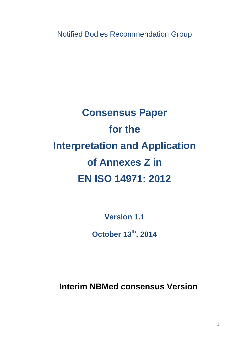Notified Bodies Recommendation Group

# **Consensus Paper for the Interpretation and Application of Annexes Z in EN ISO 14971: 2012**

**Version 1.1** 

**October 13th, 2014** 

**Interim NBMed consensus Version**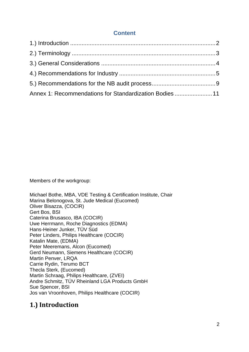## **Content**

| Annex 1: Recommendations for Standardization Bodies 11 |  |
|--------------------------------------------------------|--|

Members of the workgroup:

Michael Bothe, MBA, VDE Testing & Certification Institute, Chair Marina Belonogova, St. Jude Medical (Eucomed) Oliver Bisazza, (COCIR) Gert Bos, BSI Caterina Brusasco, IBA (COCIR) Uwe Herrmann, Roche Diagnostics (EDMA) Hans-Heiner Junker, TÜV Süd Peter Linders, Philips Healthcare (COCIR) Katalin Mate, (EDMA) Peter Meeremans, Alcon (Eucomed) Gerd Neumann, Siemens Healthcare (COCIR) Martin Penver, LRQA Carrie Rydin, Terumo BCT Thecla Sterk, (Eucomed) Martin Schraag, Philips Healthcare, (ZVEI) Andre Schmitz, TÜV Rheinland LGA Products GmbH Sue Spencer, BSI Jos van Vroonhoven, Philips Healthcare (COCIR)

# 1.) **Introduction**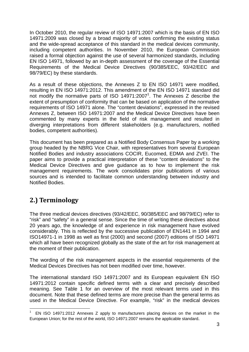In October 2010, the regular review of ISO 14971:2007 which is the basis of EN ISO 14971:2009 was closed by a broad majority of votes confirming the existing status and the wide-spread acceptance of this standard in the medical devices community, including competent authorities. In November 2010, the European Commission raised a formal objection against the use of several harmonized standards, including EN ISO 14971, followed by an in-depth assessment of the coverage of the Essential Requirements of the Medical Device Directives (90/385/EEC, 93/42/EEC and 98/79/EC) by these standards.

As a result of these objections, the Annexes Z to EN ISO 14971 were modified, resulting in EN ISO 14971:2012. This amendment of the EN ISO 14971 standard did not modify the normative parts of ISO 14971:2007<sup>1</sup>. The Annexes Z describe the extent of presumption of conformity that can be based on application of the normative requirements of ISO 14971 alone. The "content deviations", expressed in the revised Annexes Z, between ISO 14971:2007 and the Medical Device Directives have been commented by many experts in the field of risk management and resulted in diverging interpretations from different stakeholders (e.g. manufacturers, notified bodies, competent authorities).

This document has been prepared as a Notified Body Consensus Paper by a working group headed by the NBRG Vice Chair, with representatives from several European Notified Bodies and industry associations COCIR, Eucomed, EDMA and ZVEI. The paper aims to provide a practical interpretation of these "content deviations" to the Medical Device Directives and give guidance as to how to implement the risk management requirements. The work consolidates prior publications of various sources and is intended to facilitate common understanding between industry and Notified Bodies.

# **2.) Terminology**

1

The three medical devices directives (93/42/EEC, 90/385/EEC and 98/79/EC) refer to "risk" and "safety" in a general sense. Since the time of writing these directives about 20 years ago, the knowledge of and experience in risk management have evolved considerably. This is reflected by the successive publication of EN1441 in 1994 and ISO14971-1 in 1998 as well as first (2000) and second (2007) editions of ISO 14971 which all have been recognized globally as the state of the art for risk management at the moment of their publication.

The wording of the risk management aspects in the essential requirements of the Medical Devices Directives has not been modified over time, however.

The international standard ISO 14971:2007 and its European equivalent EN ISO 14971:2012 contain specific defined terms with a clear and precisely described meaning. See Table 1 for an overview of the most relevant terms used in this document. Note that these defined terms are more precise than the general terms as used in the Medical Device Directive. For example, "risk" in the medical devices

<sup>1</sup> EN ISO 14971:2012 Annexes Z apply to manufacturers placing devices on the market in the European Union; for the rest of the world, ISO 14971:2007 remains the applicable standard.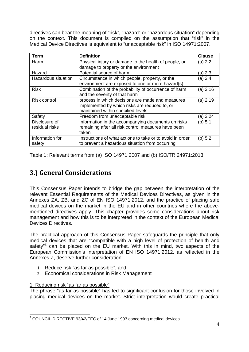directives can bear the meaning of "risk", "hazard" or "hazardous situation" depending on the context. This document is compiled on the assumption that "risk" in the Medical Device Directives is equivalent to "unacceptable risk" in ISO 14971:2007.

| <b>Term</b>         | <b>Definition</b>                                         | <b>Clause</b> |
|---------------------|-----------------------------------------------------------|---------------|
| Harm                | Physical injury or damage to the health of people, or     | (a) 2.2       |
|                     | damage to property or the environment                     |               |
| Hazard              | Potential source of harm                                  | (a) 2.3       |
| Hazardous situation | Circumstance in which people, property, or the            | (a) 2.4       |
|                     | environment are exposed to one or more hazard(s)          |               |
| <b>Risk</b>         | Combination of the probability of occurrence of harm      | (a) 2.16      |
|                     | and the severity of that harm                             |               |
| <b>Risk control</b> | process in which decisions are made and measures          | (a) 2.19      |
|                     | implemented by which risks are reduced to, or             |               |
|                     | maintained within specified levels                        |               |
| Safety              | Freedom from unacceptable risk                            | (a) 2.24      |
| Disclosure of       | Information in the accompanying documents on risks        | (b) $5.1$     |
| residual risks      | remaining after all risk control measures have been       |               |
|                     | taken                                                     |               |
| Information for     | Instructions of what actions to take or to avoid in order | (b) 5.2       |
| safety              | to prevent a hazardous situation from occurring           |               |

Table 1: Relevant terms from (a) ISO 14971:2007 and (b) ISO/TR 24971:2013

# **3.) General Considerations**

This Consensus Paper intends to bridge the gap between the interpretation of the relevant Essential Requirements of the Medical Devices Directives, as given in the Annexes ZA, ZB, and ZC of EN ISO 14971:2012, and the practice of placing safe medical devices on the market in the EU and in other countries where the abovementioned directives apply. This chapter provides some considerations about risk management and how this is to be interpreted in the context of the European Medical Devices Directives.

The practical approach of this Consensus Paper safeguards the principle that only medical devices that are "compatible with a high level of protection of health and safety"<sup>2</sup> can be placed on the EU market. With this in mind, two aspects of the European Commission's interpretation of EN ISO 14971:2012, as reflected in the Annexes Z, deserve further consideration:

- 1. Reduce risk "as far as possible", and
- 2. Economical considerations in Risk Management

#### 1. Reducing risk "as far as possible"

The phrase "as far as possible" has led to significant confusion for those involved in placing medical devices on the market. Strict interpretation would create practical

<sup>1</sup>  $2$  COUNCIL DIRECTIVE 93/42/EEC of 14 June 1993 concerning medical devices.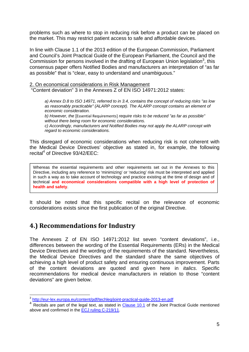problems such as where to stop in reducing risk before a product can be placed on the market. This may restrict patient access to safe and affordable devices.

In line with Clause 1.1 of the 2013 edition of the European Commission, Parliament and Council's Joint Practical Guide of the European Parliament, the Council and the Commission for persons involved in the drafting of European Union legislation $3$ , this consensus paper offers Notified Bodies and manufacturers an interpretation of "as far as possible" that is "clear, easy to understand and unambiguous."

2. On economical considerations in Risk Management "Content deviation" 3 in the Annexes Z of EN ISO 14971:2012 states:

*a) Annex D.8 to ISO 14971, referred to in 3.4, contains the concept of reducing risks "as low as reasonably practicable" (ALARP concept). The ALARP concept contains an element of economic consideration.* 

b) However, the [Essential Requirements] require risks to be reduced "as far as possible" *without there being room for economic considerations. c) Accordingly, manufacturers and Notified Bodies may not apply the ALARP concept with regard to economic considerations.* 

This disregard of economic considerations when reducing risk is not coherent with the Medical Device Directives' objective as stated in, for example, the following recital<sup>4</sup> of Directive 93/42/EEC:

Whereas the essential requirements and other requirements set out in the Annexes to this Directive, including any reference to 'minimizing' or 'reducing' risk must be interpreted and applied in such a way as to take account of technology and practice existing at the time of design and of technical **and economical considerations compatible with a high level of protection of health and safety**.

It should be noted that this specific recital on the relevance of economic considerations exists since the first publication of the original Directive.

# **4.) Recommendations for Industry**

The Annexes Z of EN ISO 14971:2012 list seven "content deviations", i.e., differences between the wording of the Essential Requirements (ERs) in the Medical Device Directives and the wording of the requirements of the standard. Nevertheless, the Medical Device Directives and the standard share the same objectives of achieving a high level of product safety and ensuring continuous improvement. Parts of the content deviations are quoted and given here in *italics*. Specific recommendations for medical device manufacturers in relation to those "content deviations" are given below.

<sup>1</sup> <sup>3</sup> http://eur-lex.europa.eu/content/pdf/techleg/joint-practical-guide-2013-en.pdf

<sup>&</sup>lt;sup>4</sup> Recitals are part of the legal text, as stated in Clause 10.1 of the Joint Practical Guide mentioned above and confirmed in the ECJ ruling C-219/11.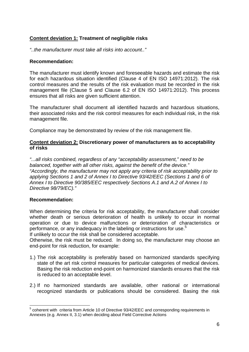#### **Content deviation 1: Treatment of negligible risks**

*"..the manufacturer must take all risks into account.."* 

#### **Recommendation:**

The manufacturer must identify known and foreseeable hazards and estimate the risk for each hazardous situation identified (Clause 4 of EN ISO 14971:2012). The risk control measures and the results of the risk evaluation must be recorded in the risk management file (Clause 5 and Clause 6.2 of EN ISO 14971:2012). This process ensures that all risks are given sufficient attention.

The manufacturer shall document all identified hazards and hazardous situations, their associated risks and the risk control measures for each individual risk, in the risk management file.

Compliance may be demonstrated by review of the risk management file.

#### **Content deviation 2: Discretionary power of manufacturers as to acceptability of risks**

*"...all risks combined, regardless of any "acceptability assessment," need to be balanced, together with all other risks, against the benefit of the device." "Accordingly, the manufacturer may not apply any criteria of risk acceptability prior to applying Sections 1 and 2 of Annex I to Directive 93/42/EEC (Sections 1 and 6 of Annex I to Directive 90/385/EEC respectively Sections A.1 and A.2 of Annex I to Directive 98/79/EC)."*

#### **Recommendation:**

When determining the criteria for risk acceptability, the manufacturer shall consider whether death or serious deterioration of health is unlikely to occur in normal operation or due to device malfunctions or deterioration of characteristics or performance, or any inadequacy in the labeling or instructions for use.<sup>5</sup>

If unlikely to occur the risk shall be considered acceptable.

Otherwise, the risk must be reduced. In doing so, the manufacturer may choose an end-point for risk reduction, for example:

- 1.) The risk acceptability is preferably based on harmonized standards specifying state of the art risk control measures for particular categories of medical devices. Basing the risk reduction end-point on harmonized standards ensures that the risk is reduced to an acceptable level.
- 2.) If no harmonized standards are available, other national or international recognized standards or publications should be considered. Basing the risk

 5 coherent with criteria from Article 10 of Directive 93/42/EEC and corresponding requirements in Annexes (e.g. Annex II, 3.1) when deciding about Field Corrective Actions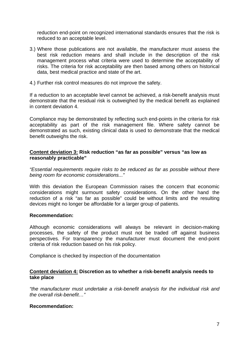reduction end-point on recognized international standards ensures that the risk is reduced to an acceptable level.

- 3.) Where those publications are not available, the manufacturer must assess the best risk reduction means and shall include in the description of the risk management process what criteria were used to determine the acceptability of risks. The criteria for risk acceptability are then based among others on historical data, best medical practice and state of the art.
- 4.) Further risk control measures do not improve the safety.

If a reduction to an acceptable level cannot be achieved, a risk-benefit analysis must demonstrate that the residual risk is outweighed by the medical benefit as explained in content deviation 4.

Compliance may be demonstrated by reflecting such end-points in the criteria for risk acceptability as part of the risk management file. Where safety cannot be demonstrated as such, existing clinical data is used to demonstrate that the medical benefit outweighs the risk.

#### **Content deviation 3: Risk reduction "as far as possible" versus "as low as reasonably practicable"**

*"Essential requirements require risks to be reduced as far as possible without there being room for economic considerations..."* 

With this deviation the European Commission raises the concern that economic considerations might surmount safety considerations. On the other hand the reduction of a risk "as far as possible" could be without limits and the resulting devices might no longer be affordable for a larger group of patients.

#### **Recommendation:**

Although economic considerations will always be relevant in decision-making processes, the safety of the product must not be traded off against business perspectives. For transparency the manufacturer must document the end-point criteria of risk reduction based on his risk policy.

Compliance is checked by inspection of the documentation

#### **Content deviation 4: Discretion as to whether a risk-benefit analysis needs to take place**

*"the manufacturer must undertake a risk-benefit analysis for the individual risk and the overall risk-benefit…"* 

#### **Recommendation:**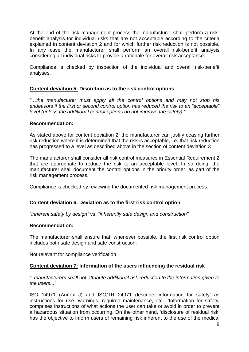At the end of the risk management process the manufacturer shall perform a risk‐ benefit analysis for individual risks that are not acceptable according to the criteria explained in content deviation 2 and for which further risk reduction is not possible. In any case the manufacturer shall perform an overall risk-benefit analysis considering all individual risks to provide a rationale for overall risk acceptance.

Compliance is checked by inspection of the individual and overall risk-benefit analyses.

#### **Content deviation 5: Discretion as to the risk control options**

*"…the manufacturer must apply all the control options and may not stop his endeavors if the first or second control option has reduced the risk to an "acceptable" level (unless the additional control options do not improve the safety)."* 

#### **Recommendation:**

As stated above for content deviation 2, the manufacturer can justify ceasing further risk reduction where it is determined that the risk is acceptable, i.e. that risk reduction has progressed to a level as described above in the section of content deviation 3 .

The manufacturer shall consider all risk control measures in Essential Requirement 2 that are appropriate to reduce the risk to an acceptable level. In so doing, the manufacturer shall document the control options in the priority order, as part of the risk management process.

Compliance is checked by reviewing the documented risk management process.

#### **Content deviation 6: Deviation as to the first risk control option**

*"inherent safety by design"* vs. *"inherently safe design and construction"* 

#### **Recommendation:**

The manufacturer shall ensure that, whenever possible, the first risk control option includes both safe design and safe construction.

Not relevant for compliance verification.

#### **Content deviation 7: Information of the users influencing the residual risk**

*"..manufacturers shall not attribute additional risk reduction to the information given to the users..."* 

ISO 14971 (Annex J) and ISO/TR 24971 describe 'information for safety' as instructions for use, warnings, required maintenance, etc.. 'Information for safety' comprises instructions of what actions the user can take or avoid in order to prevent a hazardous situation from occurring. On the other hand, 'disclosure of residual risk' has the objective to inform users of remaining risk inherent to the use of the medical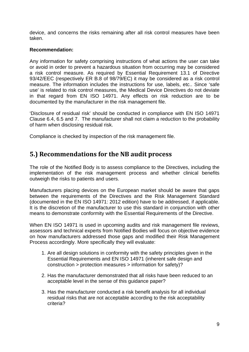device, and concerns the risks remaining after all risk control measures have been taken.

#### **Recommendation:**

Any information for safety comprising instructions of what actions the user can take or avoid in order to prevent a hazardous situation from occurring may be considered a risk control measure. As required by Essential Requirement 13.1 of Directive 93/42/EEC (respectively ER B.8 of 98/79/EC) it may be considered as a risk control measure. The information includes the instructions for use, labels, etc.. Since 'safe use' is related to risk control measures, the Medical Device Directives do not deviate in that regard from EN ISO 14971. Any effects on risk reduction are to be documented by the manufacturer in the risk management file.

'Disclosure of residual risk' should be conducted in compliance with EN ISO 14971 Clause 6.4, 6.5 and 7. The manufacturer shall not claim a reduction to the probability of harm when disclosing residual risk.

Compliance is checked by inspection of the risk management file.

## **5.) Recommendations for the NB audit process**

The role of the Notified Body is to assess compliance to the Directives, including the implementation of the risk management process and whether clinical benefits outweigh the risks to patients and users.

Manufacturers placing devices on the European market should be aware that gaps between the requirements of the Directives and the Risk Management Standard (documented in the EN ISO 14971: 2012 edition) have to be addressed, if applicable. It is the discretion of the manufacturer to use this standard in conjunction with other means to demonstrate conformity with the Essential Requirements of the Directive.

When EN ISO 14971 is used in upcoming audits and risk management file reviews, assessors and technical experts from Notified Bodies will focus on objective evidence on how manufacturers addressed those gaps and modified their Risk Management Process accordingly. More specifically they will evaluate:

- 1. Are all design solutions in conformity with the safety principles given in the Essential Requirements and EN ISO 14971 (inherent safe design and construction > protection measures > information for safety)?
- 2. Has the manufacturer demonstrated that all risks have been reduced to an acceptable level in the sense of this guidance paper?
- 3. Has the manufacturer conducted a risk benefit analysis for all individual residual risks that are not acceptable according to the risk acceptability criteria?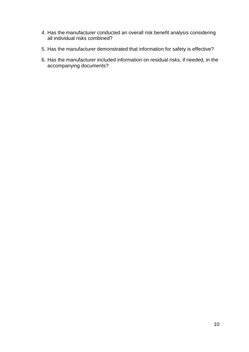- 4. Has the manufacturer conducted an overall risk benefit analysis considering all individual risks combined?
- 5. Has the manufacturer demonstrated that information for safety is effective?
- 6. Has the manufacturer included information on residual risks, if needed, in the accompanying documents?